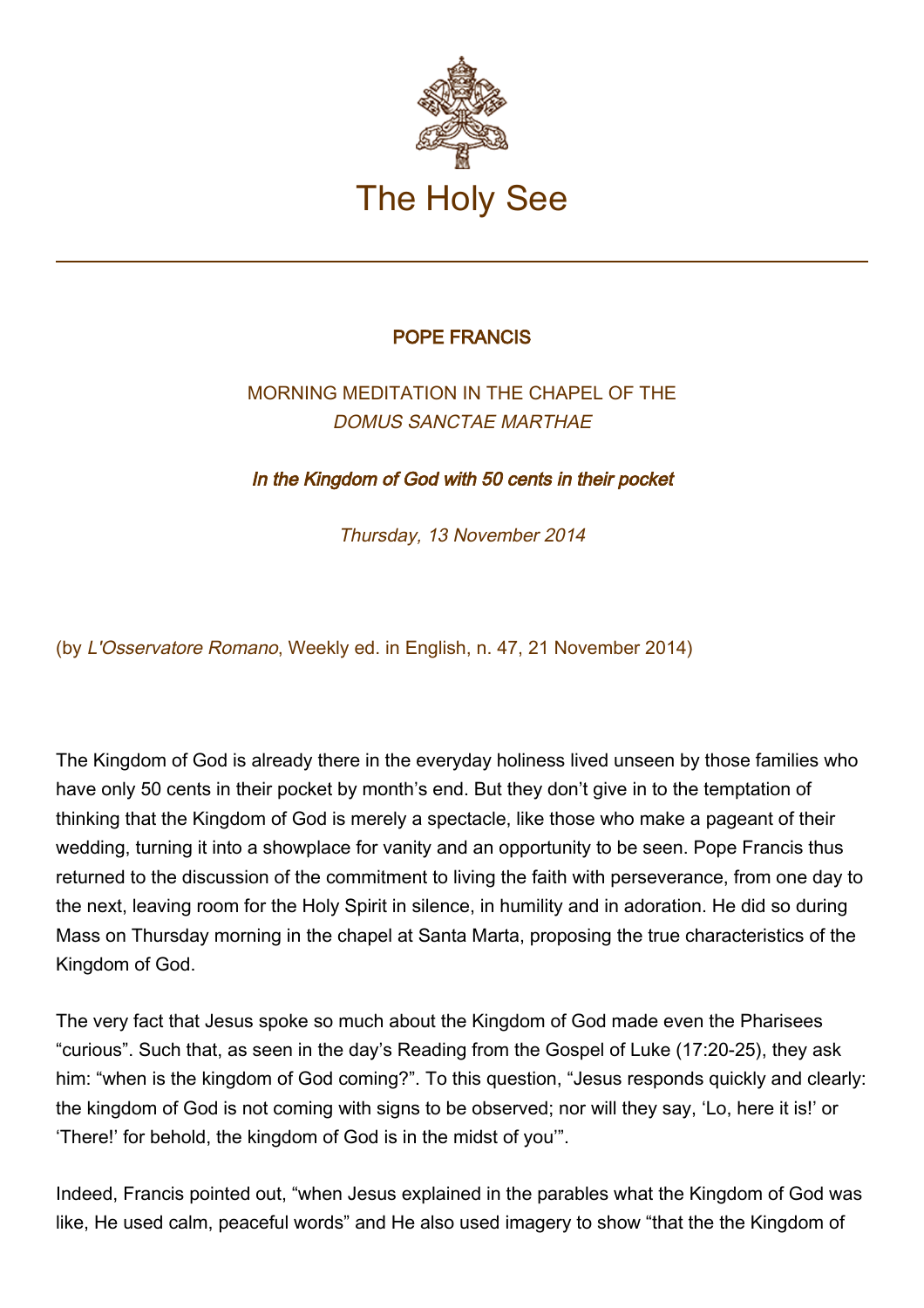

## POPE FRANCIS

## MORNING MEDITATION IN THE CHAPEL OF THE DOMUS SANCTAE MARTHAE

In the Kingdom of God with 50 cents in their pocket

Thursday, 13 November 2014

(by L'Osservatore Romano, Weekly ed. in English, n. 47, 21 November 2014)

The Kingdom of God is already there in the everyday holiness lived unseen by those families who have only 50 cents in their pocket by month's end. But they don't give in to the temptation of thinking that the Kingdom of God is merely a spectacle, like those who make a pageant of their wedding, turning it into a showplace for vanity and an opportunity to be seen. Pope Francis thus returned to the discussion of the commitment to living the faith with perseverance, from one day to the next, leaving room for the Holy Spirit in silence, in humility and in adoration. He did so during Mass on Thursday morning in the chapel at Santa Marta, proposing the true characteristics of the Kingdom of God.

The very fact that Jesus spoke so much about the Kingdom of God made even the Pharisees "curious". Such that, as seen in the day's Reading from the Gospel of Luke (17:20-25), they ask him: "when is the kingdom of God coming?". To this question, "Jesus responds quickly and clearly: the kingdom of God is not coming with signs to be observed; nor will they say, 'Lo, here it is!' or 'There!' for behold, the kingdom of God is in the midst of you'".

Indeed, Francis pointed out, "when Jesus explained in the parables what the Kingdom of God was like, He used calm, peaceful words" and He also used imagery to show "that the the Kingdom of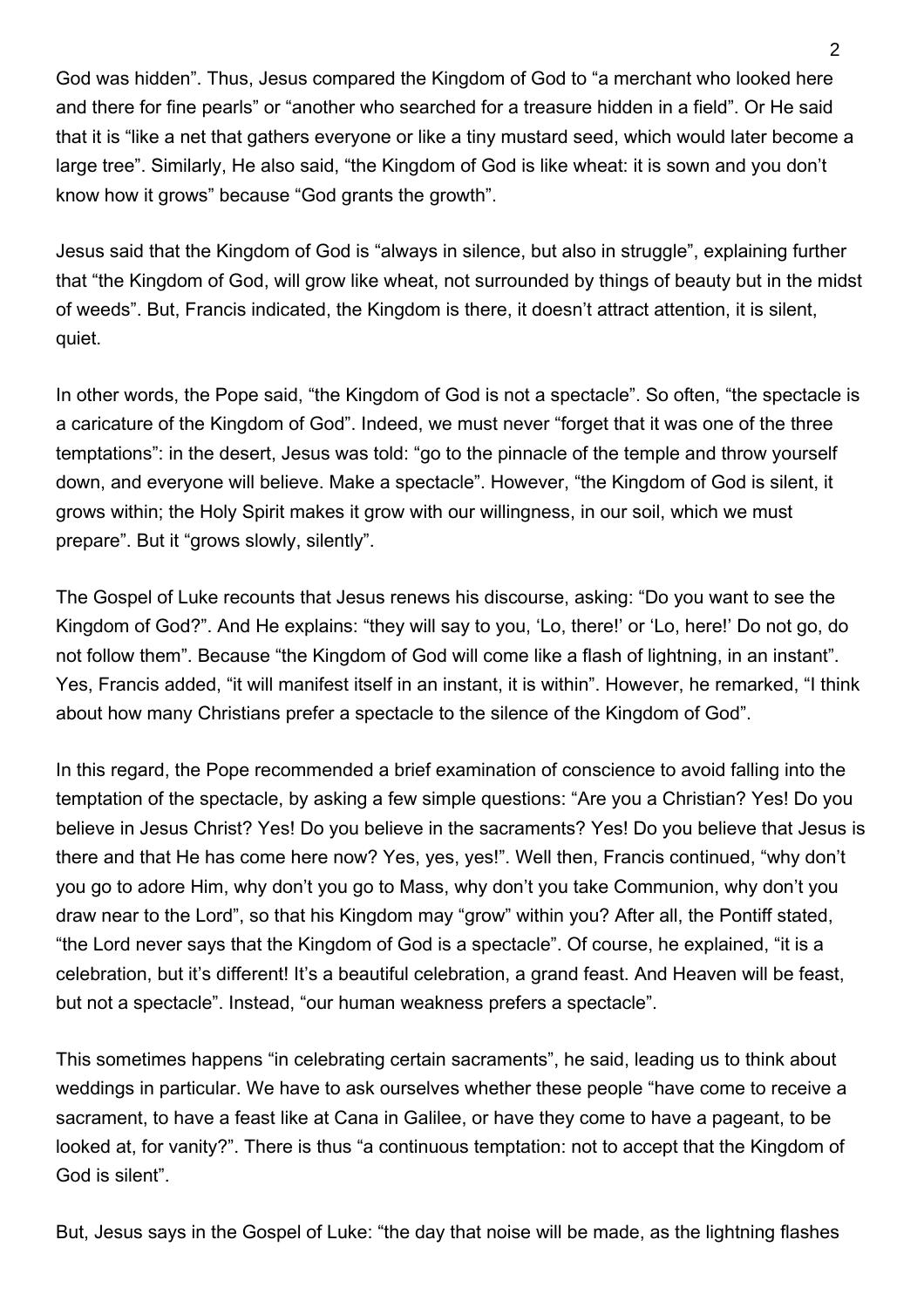God was hidden". Thus, Jesus compared the Kingdom of God to "a merchant who looked here and there for fine pearls" or "another who searched for a treasure hidden in a field". Or He said that it is "like a net that gathers everyone or like a tiny mustard seed, which would later become a large tree". Similarly, He also said, "the Kingdom of God is like wheat: it is sown and you don't know how it grows" because "God grants the growth".

Jesus said that the Kingdom of God is "always in silence, but also in struggle", explaining further that "the Kingdom of God, will grow like wheat, not surrounded by things of beauty but in the midst of weeds". But, Francis indicated, the Kingdom is there, it doesn't attract attention, it is silent, quiet.

In other words, the Pope said, "the Kingdom of God is not a spectacle". So often, "the spectacle is a caricature of the Kingdom of God". Indeed, we must never "forget that it was one of the three temptations": in the desert, Jesus was told: "go to the pinnacle of the temple and throw yourself down, and everyone will believe. Make a spectacle". However, "the Kingdom of God is silent, it grows within; the Holy Spirit makes it grow with our willingness, in our soil, which we must prepare". But it "grows slowly, silently".

The Gospel of Luke recounts that Jesus renews his discourse, asking: "Do you want to see the Kingdom of God?". And He explains: "they will say to you, 'Lo, there!' or 'Lo, here!' Do not go, do not follow them". Because "the Kingdom of God will come like a flash of lightning, in an instant". Yes, Francis added, "it will manifest itself in an instant, it is within". However, he remarked, "I think about how many Christians prefer a spectacle to the silence of the Kingdom of God".

In this regard, the Pope recommended a brief examination of conscience to avoid falling into the temptation of the spectacle, by asking a few simple questions: "Are you a Christian? Yes! Do you believe in Jesus Christ? Yes! Do you believe in the sacraments? Yes! Do you believe that Jesus is there and that He has come here now? Yes, yes, yes!". Well then, Francis continued, "why don't you go to adore Him, why don't you go to Mass, why don't you take Communion, why don't you draw near to the Lord", so that his Kingdom may "grow" within you? After all, the Pontiff stated, "the Lord never says that the Kingdom of God is a spectacle". Of course, he explained, "it is a celebration, but it's different! It's a beautiful celebration, a grand feast. And Heaven will be feast, but not a spectacle". Instead, "our human weakness prefers a spectacle".

This sometimes happens "in celebrating certain sacraments", he said, leading us to think about weddings in particular. We have to ask ourselves whether these people "have come to receive a sacrament, to have a feast like at Cana in Galilee, or have they come to have a pageant, to be looked at, for vanity?". There is thus "a continuous temptation: not to accept that the Kingdom of God is silent".

But, Jesus says in the Gospel of Luke: "the day that noise will be made, as the lightning flashes